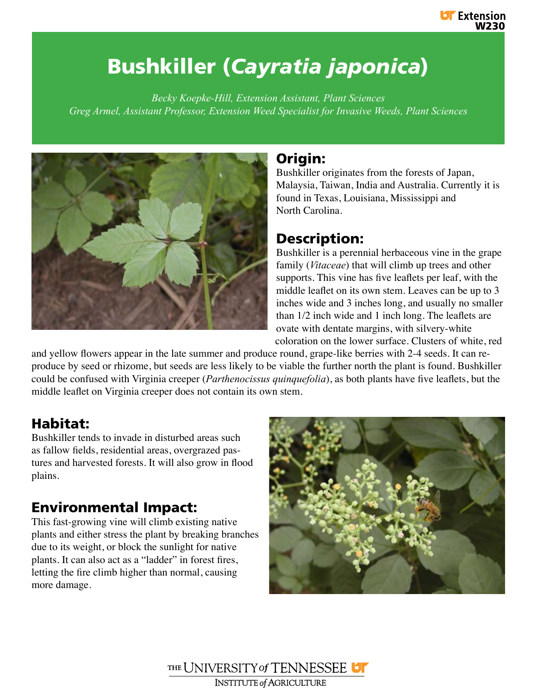# Bushkiller (*Cayratia japonica*)

*Becky Koepke-Hill, Extension Assistant, Plant Sciences Greg Armel, Assistant Professor, Extension Weed Specialist for Invasive Weeds, Plant Sciences*



#### **Origin:**

Bushkiller originates from the forests of Japan, Malaysia, Taiwan, India and Australia. Currently it is found in Texas, Louisiana, Mississippi and North Carolina.

## Description:

Bushkiller is a perennial herbaceous vine in the grape family (*Vitaceae*) that will climb up trees and other supports. This vine has five leaflets per leaf, with the middle leaflet on its own stem. Leaves can be up to 3 inches wide and 3 inches long, and usually no smaller than 1/2 inch wide and 1 inch long. The leaflets are ovate with dentate margins, with silvery-white coloration on the lower surface. Clusters of white, red

and yellow flowers appear in the late summer and produce round, grape-like berries with 2-4 seeds. It can reproduce by seed or rhizome, but seeds are less likely to be viable the further north the plant is found. Bushkiller could be confused with Virginia creeper (*Parthenocissus quinquefolia*), as both plants have five leaflets, but the middle leaflet on Virginia creeper does not contain its own stem.

# Habitat:

Bushkiller tends to invade in disturbed areas such as fallow fields, residential areas, overgrazed pastures and harvested forests. It will also grow in flood plains.

# Environmental Impact:

This fast-growing vine will climb existing native plants and either stress the plant by breaking branches due to its weight, or block the sunlight for native plants. It can also act as a "ladder" in forest fires, letting the fire climb higher than normal, causing more damage.